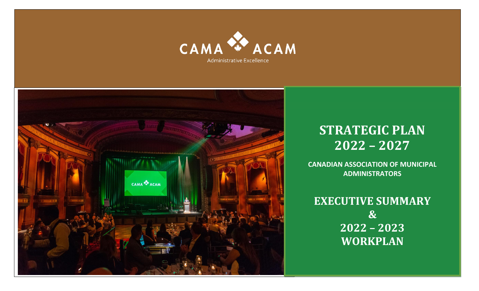



# **STRATEGIC PLAN 2022 – 2027**

**CANADIAN ASSOCIATION OF MUNICIPAL ADMINISTRATORS**

**EXECUTIVE SUMMARY & 2022 – 2023 WORKPLAN**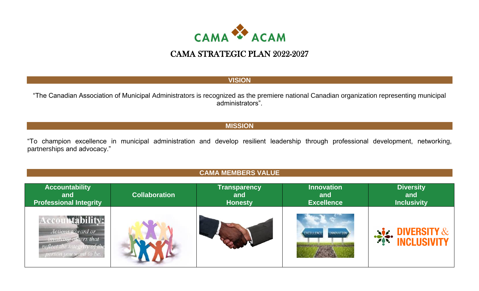

#### **VISION**

"The Canadian Association of Municipal Administrators is recognized as the premiere national Canadian organization representing municipal administrators".

#### **MISSION**

"To champion excellence in municipal administration and develop resilient leadership through professional development, networking, partnerships and advocacy."

#### **CAMA MEMBERS VALUE**

| <b>Accountability</b>                                                                          | <b>Collaboration</b> | <b>Transparency</b> | <b>Innovation</b>                      | <b>Diversity</b>                               |
|------------------------------------------------------------------------------------------------|----------------------|---------------------|----------------------------------------|------------------------------------------------|
| and                                                                                            |                      | and                 | and                                    | and                                            |
| <b>Professional Integrity</b>                                                                  |                      | <b>Honesty</b>      | <b>Excellence</b>                      | <b>Inclusivity</b>                             |
| <b>Accountability:</b><br>Actions toward or<br>involving others that<br>person you want to be. |                      |                     | <b>INNOVATION</b><br><b>EXCELLENCE</b> | <b>SAN DIVERSITY &amp; SAN DIVERSITY &amp;</b> |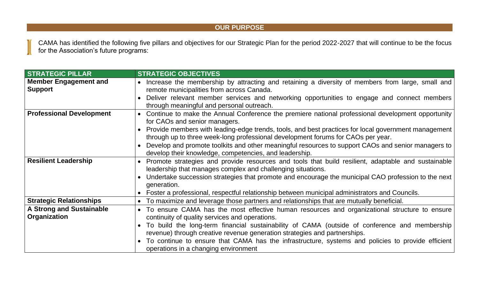#### **OUR PURPOSE**

CAMA has identified the following five pillars and objectives for our Strategic Plan for the period 2022-2027 that will continue to be the focus for the Association's future programs:

| <b>STRATEGIC PILLAR</b>                        | <b>STRATEGIC OBJECTIVES</b>                                                                                                                                                             |  |
|------------------------------------------------|-----------------------------------------------------------------------------------------------------------------------------------------------------------------------------------------|--|
| <b>Member Engagement and</b><br><b>Support</b> | Increase the membership by attracting and retaining a diversity of members from large, small and<br>remote municipalities from across Canada.                                           |  |
|                                                | Deliver relevant member services and networking opportunities to engage and connect members<br>through meaningful and personal outreach.                                                |  |
| <b>Professional Development</b>                | • Continue to make the Annual Conference the premiere national professional development opportunity<br>for CAOs and senior managers.                                                    |  |
|                                                | Provide members with leading-edge trends, tools, and best practices for local government management<br>through up to three week-long professional development forums for CAOs per year. |  |
|                                                | Develop and promote toolkits and other meaningful resources to support CAOs and senior managers to<br>develop their knowledge, competencies, and leadership.                            |  |
| <b>Resilient Leadership</b>                    | Promote strategies and provide resources and tools that build resilient, adaptable and sustainable<br>leadership that manages complex and challenging situations.                       |  |
|                                                | Undertake succession strategies that promote and encourage the municipal CAO profession to the next<br>generation.                                                                      |  |
|                                                | • Foster a professional, respectful relationship between municipal administrators and Councils.                                                                                         |  |
| <b>Strategic Relationships</b>                 | • To maximize and leverage those partners and relationships that are mutually beneficial.                                                                                               |  |
| <b>A Strong and Sustainable</b>                | • To ensure CAMA has the most effective human resources and organizational structure to ensure                                                                                          |  |
| Organization                                   | continuity of quality services and operations.                                                                                                                                          |  |
|                                                | To build the long-term financial sustainability of CAMA (outside of conference and membership                                                                                           |  |
|                                                | revenue) through creative revenue generation strategies and partnerships.                                                                                                               |  |
|                                                | To continue to ensure that CAMA has the infrastructure, systems and policies to provide efficient<br>operations in a changing environment                                               |  |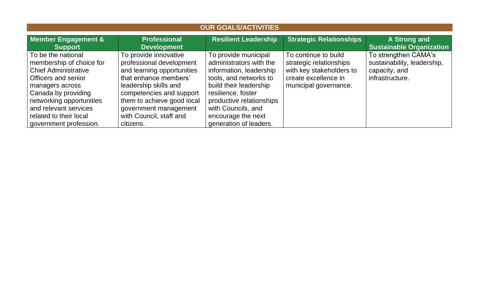| <b>OUR GOALS/ACTIVITIES</b>                                                                                                                                                                                                                             |                                                                                                                                                                                                                                                              |                                                                                                                                                                                                                                                        |                                                                                                                              |                                                                                         |
|---------------------------------------------------------------------------------------------------------------------------------------------------------------------------------------------------------------------------------------------------------|--------------------------------------------------------------------------------------------------------------------------------------------------------------------------------------------------------------------------------------------------------------|--------------------------------------------------------------------------------------------------------------------------------------------------------------------------------------------------------------------------------------------------------|------------------------------------------------------------------------------------------------------------------------------|-----------------------------------------------------------------------------------------|
| <b>Member Engagement &amp;</b><br><b>Support</b>                                                                                                                                                                                                        | <b>Professional</b><br><b>Development</b>                                                                                                                                                                                                                    | <b>Resilient Leadership</b>                                                                                                                                                                                                                            | <b>Strategic Relationships</b>                                                                                               | A Strong and<br><b>Sustainable Organization</b>                                         |
| To be the national<br>membership of choice for<br><b>Chief Administrative</b><br>Officers and senior<br>managers across<br>Canada by providing<br>networking opportunities<br>and relevant services<br>related to their local<br>government profession. | To provide innovative<br>professional development<br>and learning opportunities<br>that enhance members'<br>leadership skills and<br>competencies and support<br>them to achieve good local<br>government management<br>with Council, staff and<br>citizens. | To provide municipal<br>administrators with the<br>information, leadership<br>tools, and networks to<br>build their leadership<br>resilience, foster<br>productive relationships<br>with Councils, and<br>encourage the next<br>generation of leaders. | To continue to build<br>strategic relationships<br>with key stakeholders to<br>create excellence in<br>municipal governance. | To strengthen CAMA's<br>sustainability, leadership,<br>capacity, and<br>infrastructure. |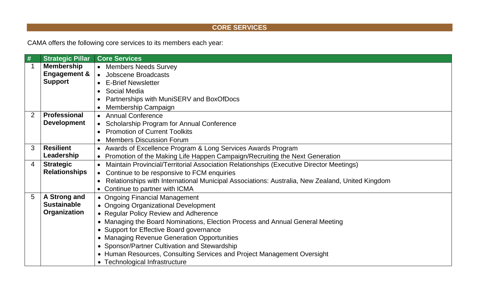## **CORE SERVICES**

CAMA offers the following core services to its members each year:

| #              | <b>Strategic Pillar</b> | <b>Core Services</b>                                                                                 |  |
|----------------|-------------------------|------------------------------------------------------------------------------------------------------|--|
|                | <b>Membership</b>       | • Members Needs Survey                                                                               |  |
|                | <b>Engagement &amp;</b> | • Jobscene Broadcasts                                                                                |  |
|                | <b>Support</b>          | <b>E-Brief Newsletter</b><br>$\bullet$                                                               |  |
|                |                         | Social Media<br>$\bullet$                                                                            |  |
|                |                         | Partnerships with MuniSERV and BoxOfDocs                                                             |  |
|                |                         | Membership Campaign                                                                                  |  |
| 2              | <b>Professional</b>     | <b>Annual Conference</b>                                                                             |  |
|                | <b>Development</b>      | Scholarship Program for Annual Conference<br>$\bullet$                                               |  |
|                |                         | <b>Promotion of Current Toolkits</b>                                                                 |  |
|                |                         | <b>Members Discussion Forum</b>                                                                      |  |
| 3              | <b>Resilient</b>        | • Awards of Excellence Program & Long Services Awards Program                                        |  |
|                | Leadership              | • Promotion of the Making Life Happen Campaign/Recruiting the Next Generation                        |  |
| $\overline{4}$ | <b>Strategic</b>        | Maintain Provincial/Territorial Association Relationships (Executive Director Meetings)<br>$\bullet$ |  |
|                | <b>Relationships</b>    | Continue to be responsive to FCM enquiries                                                           |  |
|                |                         | Relationships with International Municipal Associations: Australia, New Zealand, United Kingdom      |  |
|                |                         | • Continue to partner with ICMA                                                                      |  |
| 5              | A Strong and            | • Ongoing Financial Management                                                                       |  |
|                | <b>Sustainable</b>      | • Ongoing Organizational Development                                                                 |  |
|                | Organization            | • Regular Policy Review and Adherence                                                                |  |
|                |                         | • Managing the Board Nominations, Election Process and Annual General Meeting                        |  |
|                |                         | • Support for Effective Board governance                                                             |  |
|                |                         | • Managing Revenue Generation Opportunities                                                          |  |
|                |                         | • Sponsor/Partner Cultivation and Stewardship                                                        |  |
|                |                         | • Human Resources, Consulting Services and Project Management Oversight                              |  |
|                |                         | • Technological Infrastructure                                                                       |  |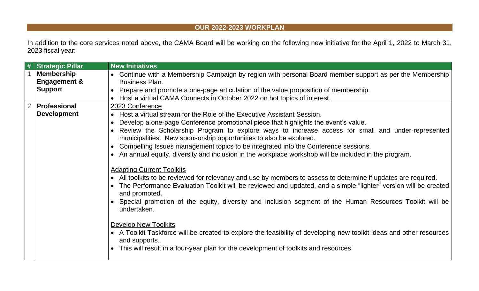### **OUR 2022-2023 WORKPLAN**

In addition to the core services noted above, the CAMA Board will be working on the following new initiative for the April 1, 2022 to March 31, 2023 fiscal year:

|                | <b>Strategic Pillar</b>                      | <b>New Initiatives</b>                                                                                                                                                                                                                                                                                                                                                                                                                                                                                                                                       |  |
|----------------|----------------------------------------------|--------------------------------------------------------------------------------------------------------------------------------------------------------------------------------------------------------------------------------------------------------------------------------------------------------------------------------------------------------------------------------------------------------------------------------------------------------------------------------------------------------------------------------------------------------------|--|
|                | <b>Membership</b><br><b>Engagement &amp;</b> | • Continue with a Membership Campaign by region with personal Board member support as per the Membership<br>Business Plan.                                                                                                                                                                                                                                                                                                                                                                                                                                   |  |
|                | <b>Support</b>                               | • Prepare and promote a one-page articulation of the value proposition of membership.                                                                                                                                                                                                                                                                                                                                                                                                                                                                        |  |
|                |                                              | • Host a virtual CAMA Connects in October 2022 on hot topics of interest.                                                                                                                                                                                                                                                                                                                                                                                                                                                                                    |  |
| $\overline{2}$ | <b>Professional</b><br><b>Development</b>    | 2023 Conference<br>• Host a virtual stream for the Role of the Executive Assistant Session.<br>Develop a one-page Conference promotional piece that highlights the event's value.<br>Review the Scholarship Program to explore ways to increase access for small and under-represented<br>municipalities. New sponsorship opportunities to also be explored.<br>Compelling Issues management topics to be integrated into the Conference sessions.<br>• An annual equity, diversity and inclusion in the workplace workshop will be included in the program. |  |
|                |                                              | <b>Adapting Current Toolkits</b><br>• All toolkits to be reviewed for relevancy and use by members to assess to determine if updates are required.<br>The Performance Evaluation Toolkit will be reviewed and updated, and a simple "lighter" version will be created<br>and promoted.<br>Special promotion of the equity, diversity and inclusion segment of the Human Resources Toolkit will be<br>undertaken.                                                                                                                                             |  |
|                |                                              | <b>Develop New Toolkits</b><br>• A Toolkit Taskforce will be created to explore the feasibility of developing new toolkit ideas and other resources<br>and supports.<br>This will result in a four-year plan for the development of toolkits and resources.                                                                                                                                                                                                                                                                                                  |  |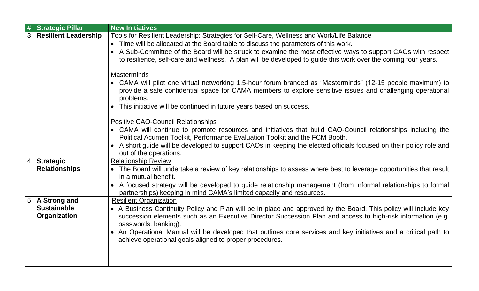|                | <b>Strategic Pillar</b>     | <b>New Initiatives</b>                                                                                                    |  |  |
|----------------|-----------------------------|---------------------------------------------------------------------------------------------------------------------------|--|--|
|                | <b>Resilient Leadership</b> | Tools for Resilient Leadership: Strategies for Self-Care, Wellness and Work/Life Balance                                  |  |  |
|                |                             | • Time will be allocated at the Board table to discuss the parameters of this work.                                       |  |  |
|                |                             | A Sub-Committee of the Board will be struck to examine the most effective ways to support CAOs with respect<br>$\bullet$  |  |  |
|                |                             | to resilience, self-care and wellness. A plan will be developed to guide this work over the coming four years.            |  |  |
|                |                             |                                                                                                                           |  |  |
|                |                             | <b>Masterminds</b>                                                                                                        |  |  |
|                |                             | • CAMA will pilot one virtual networking 1.5-hour forum branded as "Masterminds" (12-15 people maximum) to                |  |  |
|                |                             | provide a safe confidential space for CAMA members to explore sensitive issues and challenging operational                |  |  |
|                |                             | problems.                                                                                                                 |  |  |
|                |                             | This initiative will be continued in future years based on success.<br>$\bullet$                                          |  |  |
|                |                             |                                                                                                                           |  |  |
|                |                             | <b>Positive CAO-Council Relationships</b>                                                                                 |  |  |
|                |                             | • CAMA will continue to promote resources and initiatives that build CAO-Council relationships including the              |  |  |
|                |                             | Political Acumen Toolkit, Performance Evaluation Toolkit and the FCM Booth.                                               |  |  |
|                |                             | • A short guide will be developed to support CAOs in keeping the elected officials focused on their policy role and       |  |  |
|                |                             | out of the operations.                                                                                                    |  |  |
| 4              | <b>Strategic</b>            | <b>Relationship Review</b>                                                                                                |  |  |
|                | <b>Relationships</b>        | • The Board will undertake a review of key relationships to assess where best to leverage opportunities that result       |  |  |
|                |                             | in a mutual benefit.                                                                                                      |  |  |
|                |                             | A focused strategy will be developed to guide relationship management (from informal relationships to formal<br>$\bullet$ |  |  |
|                |                             | partnerships) keeping in mind CAMA's limited capacity and resources.                                                      |  |  |
| 5 <sup>1</sup> | A Strong and                | <b>Resilient Organization</b>                                                                                             |  |  |
|                | <b>Sustainable</b>          | • A Business Continuity Policy and Plan will be in place and approved by the Board. This policy will include key          |  |  |
|                | Organization                | succession elements such as an Executive Director Succession Plan and access to high-risk information (e.g.               |  |  |
|                |                             | passwords, banking).                                                                                                      |  |  |
|                |                             |                                                                                                                           |  |  |
|                |                             | • An Operational Manual will be developed that outlines core services and key initiatives and a critical path to          |  |  |
|                |                             | achieve operational goals aligned to proper procedures.                                                                   |  |  |
|                |                             |                                                                                                                           |  |  |
|                |                             |                                                                                                                           |  |  |
|                |                             |                                                                                                                           |  |  |